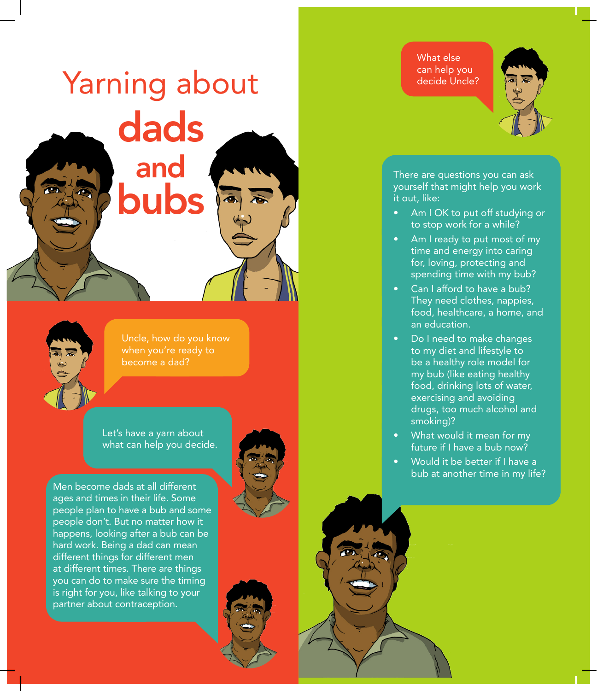## Yarning about dads and bubs **as**

Uncle, how do you know when you're ready to become a dad?

what can help you decide.

Men become dads at all different ages and times in their life. Some people plan to have a bub and some people don't. But no matter how it happens, looking after a bub can be hard work. Being a dad can mean different things for different men at different times. There are things you can do to make sure the timing is right for you, like talking to your partner about contraception.

Let's have a yarn about

What else can help you decide Uncle?



There are questions you can ask yourself that might help you work it out, like:

- Am I OK to put off studying or to stop work for a while?
- Am I ready to put most of my time and energy into caring for, loving, protecting and spending time with my bub?
- Can I afford to have a bub? They need clothes, nappies, food, healthcare, a home, and an education.
- Do I need to make changes to my diet and lifestyle to be a healthy role model for my bub (like eating healthy food, drinking lots of water, exercising and avoiding drugs, too much alcohol and smoking)?
- What would it mean for my future if I have a bub now?
- Would it be better if I have a bub at another time in my life?